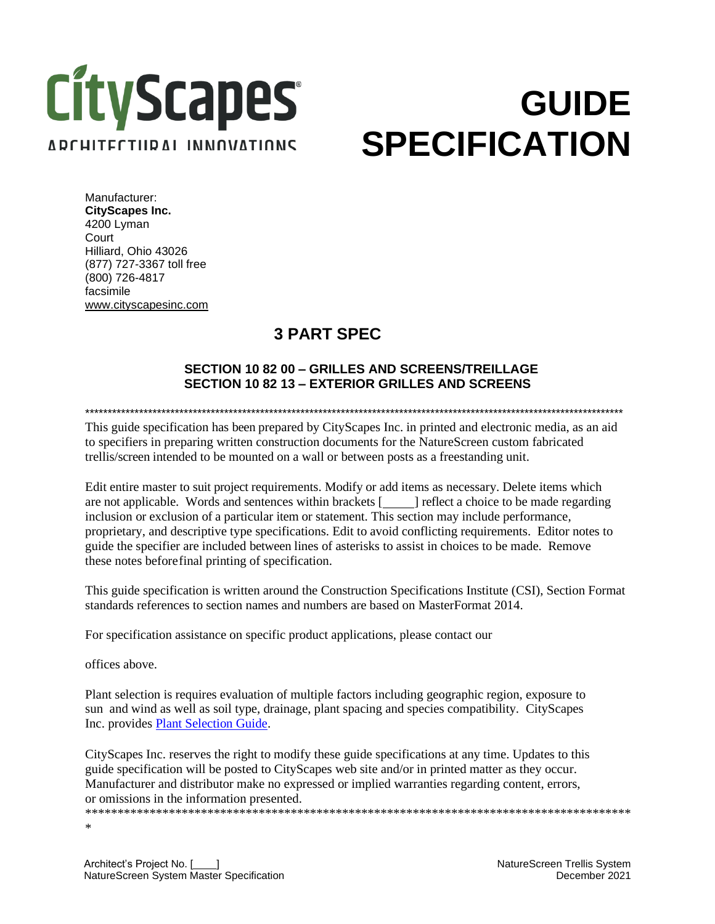# **CityScapes** ARCHITECTURAL INNOVATIONS

# **GUIDE SPECIFICATION**

Manufacturer: **CityScapes Inc.**  4200 Lyman **Court** Hilliard, Ohio 43026 (877) 727-3367 toll free (800) 726-4817 facsimile [www.cityscapesinc.com](http://www.cityscapesinc.com/)

### **3 PART SPEC**

#### **SECTION 10 82 00 – GRILLES AND SCREENS/TREILLAGE SECTION 10 82 13 – EXTERIOR GRILLES AND SCREENS**

\*\*\*\*\*\*\*\*\*\*\*\*\*\*\*\*\*\*\*\*\*\*\*\*\*\*\*\*\*\*\*\*\*\*\*\*\*\*\*\*\*\*\*\*\*\*\*\*\*\*\*\*\*\*\*\*\*\*\*\*\*\*\*\*\*\*\*\*\*\*\*\*\*\*\*\*\*\*\*\*\*\*\*\*\*\*\*\*\*\*\*\*\*\*\*\*\*\*\*\*\*\*\*\*\*\*\*\*\*\*\*\*\*\*\*\*\*\*\*\*

This guide specification has been prepared by CityScapes Inc. in printed and electronic media, as an aid to specifiers in preparing written construction documents for the NatureScreen custom fabricated trellis/screen intended to be mounted on a wall or between posts as a freestanding unit.

Edit entire master to suit project requirements. Modify or add items as necessary. Delete items which are not applicable. Words and sentences within brackets [ ] reflect a choice to be made regarding inclusion or exclusion of a particular item or statement. This section may include performance, proprietary, and descriptive type specifications. Edit to avoid conflicting requirements. Editor notes to guide the specifier are included between lines of asterisks to assist in choices to be made. Remove these notes beforefinal printing of specification.

This guide specification is written around the Construction Specifications Institute (CSI), Section Format standards references to section names and numbers are based on MasterFormat 2014.

For specification assistance on specific product applications, please contact our

offices above.

Plant selection is requires evaluation of multiple factors including geographic region, exposure to sun and wind as well as soil type, drainage, plant spacing and species compatibility. CityScapes Inc. provides [Plant Selection Guide.](http://cityscapesinc.com/naturescreen-plant-recommendations/)

CityScapes Inc. reserves the right to modify these guide specifications at any time. Updates to this guide specification will be posted to CityScapes web site and/or in printed matter as they occur. Manufacturer and distributor make no expressed or implied warranties regarding content, errors, or omissions in the information presented.

\*\*\*\*\*\*\*\*\*\*\*\*\*\*\*\*\*\*\*\*\*\*\*\*\*\*\*\*\*\*\*\*\*\*\*\*\*\*\*\*\*\*\*\*\*\*\*\*\*\*\*\*\*\*\*\*\*\*\*\*\*\*\*\*\*\*\*\*\*\*\*\*\*\*\*\*\*\*\*\*\*\*\*\*\* \*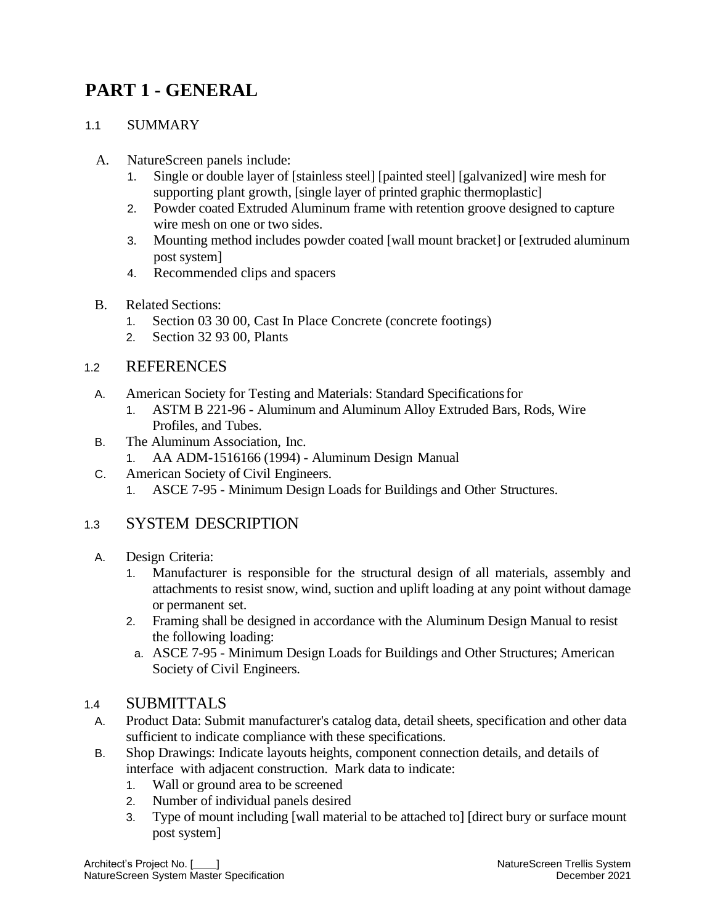## **PART 1 - GENERAL**

#### 11 SUMMARY

- A. NatureScreen panels include:
	- 1. Single or double layer of [stainless steel] [painted steel] [galvanized] wire mesh for supporting plant growth, [single layer of printed graphic thermoplastic]
	- 2. Powder coated Extruded Aluminum frame with retention groove designed to capture wire mesh on one or two sides.
	- 3. Mounting method includes powder coated [wall mount bracket] or [extruded aluminum post system]
	- 4. Recommended clips and spacers
- B. Related Sections:
	- 1. Section 03 30 00, Cast In Place Concrete (concrete footings)
	- 2. Section 32 93 00, Plants

#### 1.2 REFERENCES

- A. American Society for Testing and Materials: Standard Specificationsfor
	- 1. ASTM B 221-96 Aluminum and Aluminum Alloy Extruded Bars, Rods, Wire Profiles, and Tubes.
- B. The Aluminum Association, Inc.
	- 1. AA ADM-1516166 (1994) Aluminum Design Manual
- C. American Society of Civil Engineers.
	- 1. ASCE 7-95 Minimum Design Loads for Buildings and Other Structures.

#### 1.3 SYSTEM DESCRIPTION

- A. Design Criteria:
	- 1. Manufacturer is responsible for the structural design of all materials, assembly and attachments to resist snow, wind, suction and uplift loading at any point without damage or permanent set.
	- 2. Framing shall be designed in accordance with the Aluminum Design Manual to resist the following loading:
	- a. ASCE 7-95 Minimum Design Loads for Buildings and Other Structures; American Society of Civil Engineers.

#### 1.4 SUBMITTALS

- A. Product Data: Submit manufacturer's catalog data, detail sheets, specification and other data sufficient to indicate compliance with these specifications.
- B. Shop Drawings: Indicate layouts heights, component connection details, and details of interface with adjacent construction. Mark data to indicate:
	- 1. Wall or ground area to be screened
	- 2. Number of individual panels desired
	- 3. Type of mount including [wall material to be attached to] [direct bury or surface mount post system]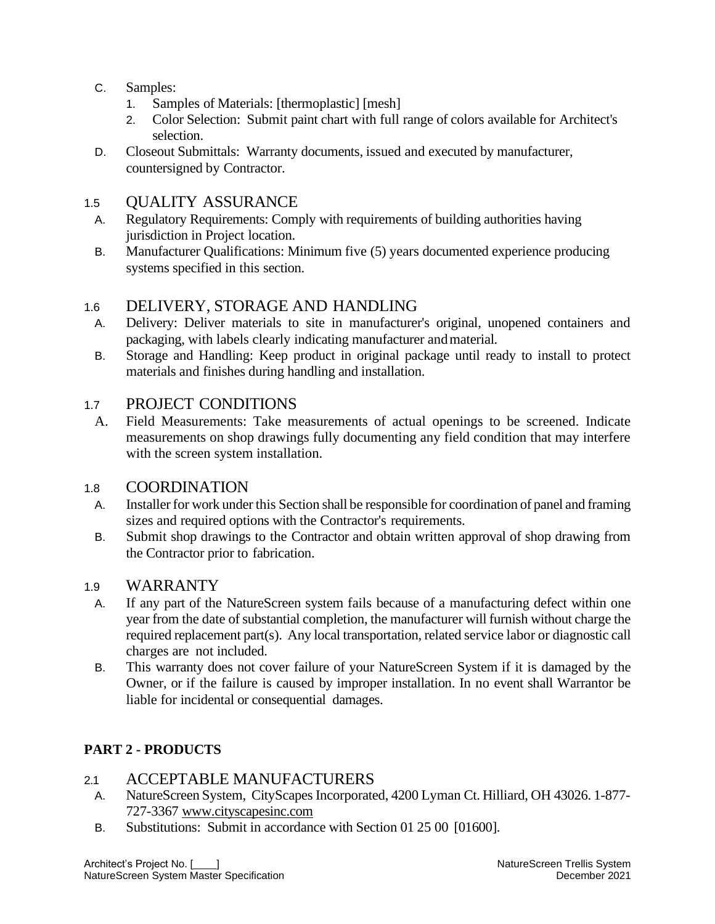- C. Samples:
	- 1. Samples of Materials: [thermoplastic] [mesh]
	- 2. Color Selection: Submit paint chart with full range of colors available for Architect's selection.
- D. Closeout Submittals: Warranty documents, issued and executed by manufacturer, countersigned by Contractor.

#### 1.5 QUALITY ASSURANCE

- A. Regulatory Requirements: Comply with requirements of building authorities having jurisdiction in Project location.
- B. Manufacturer Qualifications: Minimum five (5) years documented experience producing systems specified in this section.

#### 1.6 DELIVERY, STORAGE AND HANDLING

- A. Delivery: Deliver materials to site in manufacturer's original, unopened containers and packaging, with labels clearly indicating manufacturer andmaterial.
- B. Storage and Handling: Keep product in original package until ready to install to protect materials and finishes during handling and installation.

#### 1.7 PROJECT CONDITIONS

A. Field Measurements: Take measurements of actual openings to be screened. Indicate measurements on shop drawings fully documenting any field condition that may interfere with the screen system installation.

#### 1.8 COORDINATION

- A. Installer for work under this Section shall be responsible for coordination of panel and framing sizes and required options with the Contractor's requirements.
- B. Submit shop drawings to the Contractor and obtain written approval of shop drawing from the Contractor prior to fabrication.

#### 1.9 WARRANTY

- A. If any part of the NatureScreen system fails because of a manufacturing defect within one year from the date of substantial completion, the manufacturer will furnish without charge the required replacement part(s). Any local transportation, related service labor or diagnostic call charges are not included.
- B. This warranty does not cover failure of your NatureScreen System if it is damaged by the Owner, or if the failure is caused by improper installation. In no event shall Warrantor be liable for incidental or consequential damages.

#### **PART 2 - PRODUCTS**

#### 2.1 ACCEPTABLE MANUFACTURERS

- A. NatureScreen System, CityScapes Incorporated, 4200 Lyman Ct. Hilliard, OH 43026. 1-877- 727-3367 [www.cityscapesinc.com](http://www.cityscapesinc.com/)
- B. Substitutions: Submit in accordance with Section 01 25 00 [01600].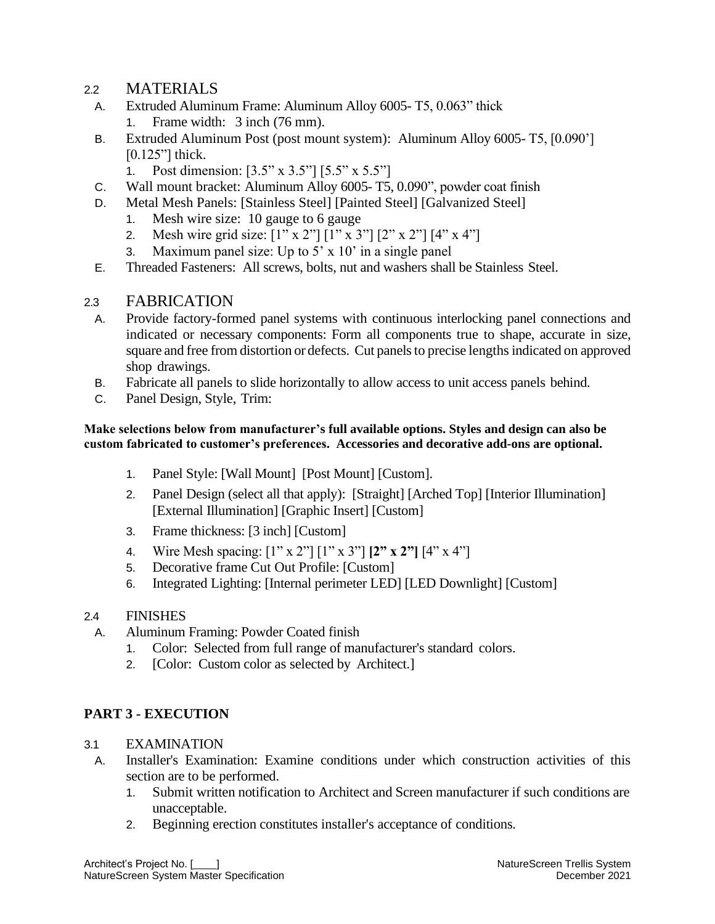#### 2.2 MATERIALS

- A. Extruded Aluminum Frame: Aluminum Alloy 6005- T5, 0.063" thick 1. Frame width: 3 inch (76 mm).
- B. Extruded Aluminum Post (post mount system): Aluminum Alloy 6005- T5, [0.090'] [0.125"] thick.
	- 1. Post dimension: [3.5" x 3.5"] [5.5" x 5.5"]
- C. Wall mount bracket: Aluminum Alloy 6005- T5, 0.090", powder coat finish
- D. Metal Mesh Panels: [Stainless Steel] [Painted Steel] [Galvanized Steel]
	- 1. Mesh wire size: 10 gauge to 6 gauge
	- 2. Mesh wire grid size: [1" x 2"] [1" x 3"] [2" x 2"] [4" x 4"]
	- 3. Maximum panel size: Up to  $5' \times 10'$  in a single panel
- E. Threaded Fasteners: All screws, bolts, nut and washers shall be Stainless Steel.

#### 2.3 FABRICATION

- A. Provide factory-formed panel systems with continuous interlocking panel connections and indicated or necessary components: Form all components true to shape, accurate in size, square and free from distortion or defects. Cut panels to precise lengths indicated on approved shop drawings.
- B. Fabricate all panels to slide horizontally to allow access to unit access panels behind.
- C. Panel Design, Style, Trim:

#### **Make selections below from manufacturer's full available options. Styles and design can also be custom fabricated to customer's preferences. Accessories and decorative add-ons are optional.**

- 1. Panel Style: [Wall Mount] [Post Mount] [Custom].
- 2. Panel Design (select all that apply): [Straight] [Arched Top] [Interior Illumination] [External Illumination] [Graphic Insert] [Custom]
- 3. Frame thickness: [3 inch] [Custom]
- 4. Wire Mesh spacing: [1" x 2"] [1" x 3"] **[2" x 2"]** [4" x 4"]
- 5. Decorative frame Cut Out Profile: [Custom]
- 6. Integrated Lighting: [Internal perimeter LED] [LED Downlight] [Custom]

#### 2.4 FINISHES

- A. Aluminum Framing: Powder Coated finish
	- 1. Color: Selected from full range of manufacturer's standard colors.
	- 2. [Color: Custom color as selected by Architect.]

#### **PART 3 - EXECUTION**

#### 3.1 EXAMINATION

- A. Installer's Examination: Examine conditions under which construction activities of this section are to be performed.
	- 1. Submit written notification to Architect and Screen manufacturer if such conditions are unacceptable.
	- 2. Beginning erection constitutes installer's acceptance of conditions.